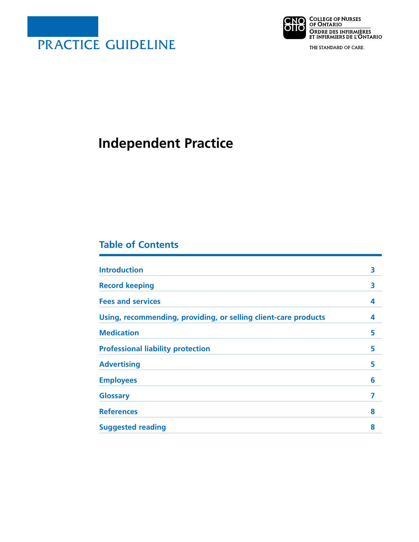



THE STANDARD OF CARE.

# **Independent Practice**

## **Table of Contents**

| <b>Introduction</b>                                             | 3 |
|-----------------------------------------------------------------|---|
| <b>Record keeping</b>                                           | 3 |
| <b>Fees and services</b>                                        | 4 |
| Using, recommending, providing, or selling client-care products | 4 |
| <b>Medication</b>                                               | 5 |
| <b>Professional liability protection</b>                        | 5 |
| <b>Advertising</b>                                              | 5 |
| <b>Employees</b>                                                | 6 |
| <b>Glossary</b>                                                 | 7 |
| <b>References</b>                                               | 8 |
| <b>Suggested reading</b>                                        | 8 |
|                                                                 |   |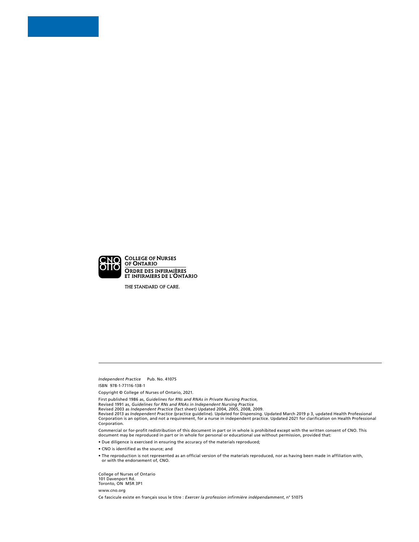

**COLLEGE OF NURSES** OF ONTARIO ORDRE DES INFIRMIÈRES<br>ET INFIRMIERS DE L'ONTARIO

THE STANDARD OF CARE.

*Independent Practice* Pub. No. 41075

ISBN 978-1-77116-138-1

Copyright © College of Nurses of Ontario, 2021.

First published 1986 as, *Guidelines for RNs and RNAs in Private Nursing Practice*,

Revised 1991 as, Guidelines for RNs and RNAs in Independent Nursing Practice<br>Revised 2003 as Independent Practice (fact sheet) Updated 2004, 2005, 2008, 2009.<br>Revised 2013 as Independent Practice (practice guideline). Upda

Corporation is an option, and not a requirement, for a nurse in independent practice. Updated 2021 for clarification on Health Professional Corporation.

Commercial or for-profit redistribution of this document in part or in whole is prohibited except with the written consent of CNO. This document may be reproduced in part or in whole for personal or educational use without permission, provided that:

• Due diligence is exercised in ensuring the accuracy of the materials reproduced;

• CNO is identified as the source; and

• The reproduction is not represented as an official version of the materials reproduced, nor as having been made in affiliation with, or with the endorsement of, CNO.

College of Nurses of Ontario 101 Davenport Rd. Toronto, ON M5R 3P1

[www.cno.org](http://www.cno.org)

Ce fascicule existe en français sous le titre : *Exercer la profession infirmière indépendamment*, n° 51075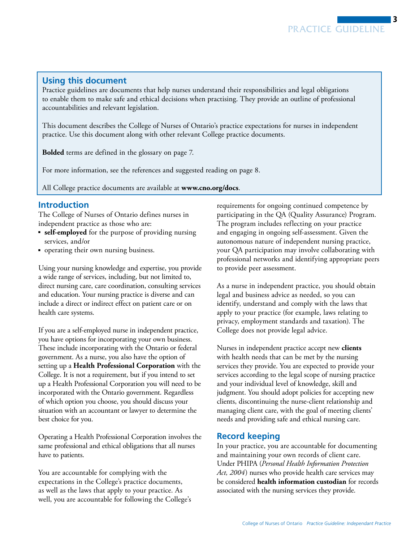3

## <span id="page-2-0"></span>**Using this document**

Practice guidelines are documents that help nurses understand their responsibilities and legal obligations to enable them to make safe and ethical decisions when practising. They provide an outline of professional accountabilities and relevant legislation.

This document describes the College of Nurses of Ontario's practice expectations for nurses in independent practice. Use this document along with other relevant College practice documents.

**Bolded** terms are defined in the glossary on page 7.

For more information, see the references and suggested reading on page 8.

All College practice documents are available at **www.cno.org/docs**.

## **Introduction**

The College of Nurses of Ontario defines nurses in independent practice as those who are:

- **self-employed** for the purpose of providing nursing services, and/or
- ■ operating their own nursing business.

Using your nursing knowledge and expertise, you provide a wide range of services, including, but not limited to, direct nursing care, care coordination, consulting services and education. Your nursing practice is diverse and can include a direct or indirect effect on patient care or on health care systems.

If you are a self-employed nurse in independent practice, you have options for incorporating your own business. These include incorporating with the Ontario or federal government. As a nurse, you also have the option of setting up a **Health Professional Corporation** with the College. It is not a requirement, but if you intend to set up a Health Professional Corporation you will need to be incorporated with the Ontario government. Regardless of which option you choose, you should discuss your situation with an accountant or lawyer to determine the best choice for you.

Operating a Health Professional Corporation involves the same professional and ethical obligations that all nurses have to patients.

You are accountable for complying with the expectations in the College's practice documents, as well as the laws that apply to your practice. As well, you are accountable for following the College's requirements for ongoing continued competence by participating in the QA (Quality Assurance) Program. The program includes reflecting on your practice and engaging in ongoing self-assessment. Given the autonomous nature of independent nursing practice, your QA participation may involve collaborating with professional networks and identifying appropriate peers to provide peer assessment.

As a nurse in independent practice, you should obtain legal and business advice as needed, so you can identify, understand and comply with the laws that apply to your practice (for example, laws relating to privacy, employment standards and taxation). The College does not provide legal advice.

Nurses in independent practice accept new **clients**  with health needs that can be met by the nursing services they provide. You are expected to provide your services according to the legal scope of nursing practice and your individual level of knowledge, skill and judgment. You should adopt policies for accepting new clients, discontinuing the nurse-client relationship and managing client care, with the goal of meeting clients' needs and providing safe and ethical nursing care.

## **Record keeping**

In your practice, you are accountable for documenting and maintaining your own records of client care. Under PHIPA (*Personal Health Information Protection Act, 2004*) nurses who provide health care services may be considered **health information custodian** for records associated with the nursing services they provide.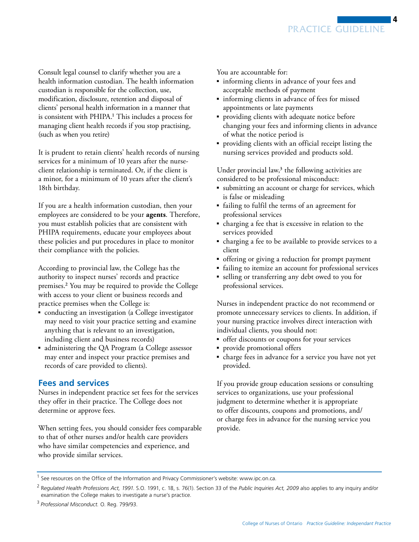PRACTICE GUIDELINE

<span id="page-3-0"></span>Consult legal counsel to clarify whether you are a health information custodian. The health information custodian is responsible for the collection, use, modification, disclosure, retention and disposal of clients' personal health information in a manner that is consistent with PHIPA.<sup>1</sup> This includes a process for managing client health records if you stop practising, (such as when you retire)

It is prudent to retain clients' health records of nursing services for a minimum of 10 years after the nurseclient relationship is terminated. Or, if the client is a minor, for a minimum of 10 years after the client's 18th birthday.

If you are a health information custodian, then your employees are considered to be your **agents**. Therefore, you must establish policies that are consistent with PHIPA requirements, educate your employees about these policies and put procedures in place to monitor their compliance with the policies.

According to provincial law, the College has the authority to inspect nurses' records and practice premises.2 You may be required to provide the College with access to your client or business records and practice premises when the College is:

- conducting an investigation (a College investigator may need to visit your practice setting and examine anything that is relevant to an investigation, including client and business records)
- administering the QA Program (a College assessor may enter and inspect your practice premises and records of care provided to clients).

## **Fees and services**

Nurses in independent practice set fees for the services they offer in their practice. The College does not determine or approve fees.

When setting fees, you should consider fees comparable to that of other nurses and/or health care providers who have similar competencies and experience, and who provide similar services.

You are accountable for:

- informing clients in advance of your fees and acceptable methods of payment
- informing clients in advance of fees for missed appointments or late payments
- providing clients with adequate notice before changing your fees and informing clients in advance of what the notice period is
- ■ providing clients with an official receipt listing the nursing services provided and products sold.

Under provincial law, $3$  the following activities are considered to be professional misconduct:

- submitting an account or charge for services, which is false or misleading
- failing to fulfil the terms of an agreement for professional services
- charging a fee that is excessive in relation to the services provided
- charging a fee to be available to provide services to a client
- offering or giving a reduction for prompt payment
- failing to itemize an account for professional services
- selling or transferring any debt owed to you for professional services.

Nurses in independent practice do not recommend or promote unnecessary services to clients. In addition, if your nursing practice involves direct interaction with individual clients, you should not:

- offer discounts or coupons for your services
- provide promotional offers
- charge fees in advance for a service you have not yet provided.

If you provide group education sessions or consulting services to organizations, use your professional judgment to determine whether it is appropriate to offer discounts, coupons and promotions, and/ or charge fees in advance for the nursing service you provide.

<sup>&</sup>lt;sup>1</sup> See resources on the Office of the Information and Privacy Commissioner's website: [www.ipc.on.ca](http://www.ipc.on.ca).

 <sup>2</sup> R*egulated Health Professions Act, 1991*. S.O. 1991, c. 18, s. 76(1). Section 33 of the *Public Inquiries Act, 2009* also applies to any inquiry and/or examination the College makes to investigate a nurse's practice.

<sup>3</sup>*Professional Misconduct.* O. Reg. 799/93.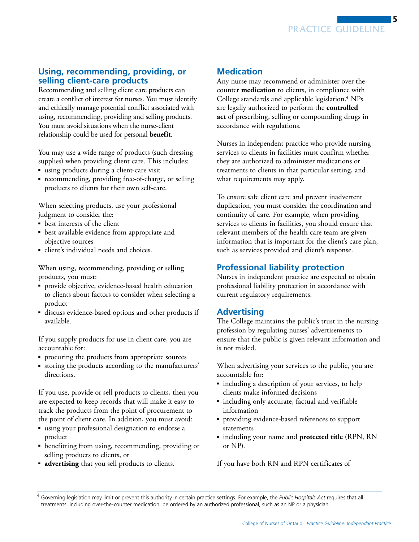PRACTICE GUIDELINE

## <span id="page-4-0"></span>**Using, recommending, providing, or selling client-care products**

Recommending and selling client care products can create a conflict of interest for nurses. You must identify and ethically manage potential conflict associated with using, recommending, providing and selling products. You must avoid situations when the nurse-client relationship could be used for personal **benefit**.

You may use a wide range of products (such dressing supplies) when providing client care. This includes:

- using products during a client-care visit
- recommending, providing free-of-charge, or selling products to clients for their own self-care.

When selecting products, use your professional judgment to consider the:

- best interests of the client
- best available evidence from appropriate and objective sources
- ■ client's individual needs and choices.

When using, recommending, providing or selling products, you must:

- ■ provide objective, evidence-based health education to clients about factors to consider when selecting a product
- discuss evidence-based options and other products if available.

If you supply products for use in client care, you are accountable for:

- ■ procuring the products from appropriate sources
- storing the products according to the manufacturers' directions.

If you use, provide or sell products to clients, then you are expected to keep records that will make it easy to track the products from the point of procurement to the point of client care. In addition, you must avoid:

- using your professional designation to endorse a product
- benefitting from using, recommending, providing or selling products to clients, or
- **advertising** that you sell products to clients.

## **Medication**

Any nurse may recommend or administer over-thecounter **medication** to clients, in compliance with College standards and applicable legislation.4 NPs are legally authorized to perform the **controlled act** of prescribing, selling or compounding drugs in accordance with regulations.

Nurses in independent practice who provide nursing services to clients in facilities must confirm whether they are authorized to administer medications or treatments to clients in that particular setting, and what requirements may apply.

To ensure safe client care and prevent inadvertent duplication, you must consider the coordination and continuity of care. For example, when providing services to clients in facilities, you should ensure that relevant members of the health care team are given information that is important for the client's care plan, such as services provided and client's response.

## **Professional liability protection**

Nurses in independent practice are expected to obtain professional liability protection in accordance with current regulatory requirements.

## **Advertising**

The College maintains the public's trust in the nursing profession by regulating nurses' advertisements to ensure that the public is given relevant information and is not misled.

When advertising your services to the public, you are accountable for:

- including a description of your services, to help clients make informed decisions
- including only accurate, factual and verifiable information
- providing evidence-based references to support statements
- ■ including your name and **protected title** (RPN, RN or NP).

If you have both RN and RPN certificates of

<sup>4</sup>  Governing legislation may limit or prevent this authority in certain practice settings. For example, the *Public Hospitals Act* requires that all treatments, including over-the-counter medication, be ordered by an authorized professional, such as an NP or a physician.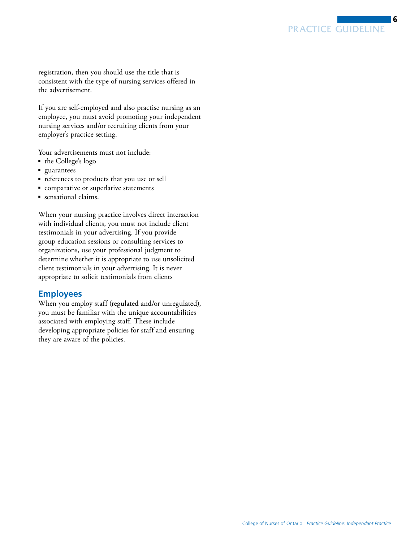PRACTICE GUIDELINE

6

<span id="page-5-0"></span>registration, then you should use the title that is consistent with the type of nursing services offered in the advertisement.

If you are self-employed and also practise nursing as an employee, you must avoid promoting your independent nursing services and/or recruiting clients from your employer's practice setting.

Your advertisements must not include:

- the College's logo
- guarantees
- ■ references to products that you use or sell
- comparative or superlative statements
- sensational claims.

When your nursing practice involves direct interaction with individual clients, you must not include client testimonials in your advertising. If you provide group education sessions or consulting services to organizations, use your professional judgment to determine whether it is appropriate to use unsolicited client testimonials in your advertising. It is never appropriate to solicit testimonials from clients

#### **Employees**

When you employ staff (regulated and/or unregulated), you must be familiar with the unique accountabilities associated with employing staff. These include developing appropriate policies for staff and ensuring they are aware of the policies.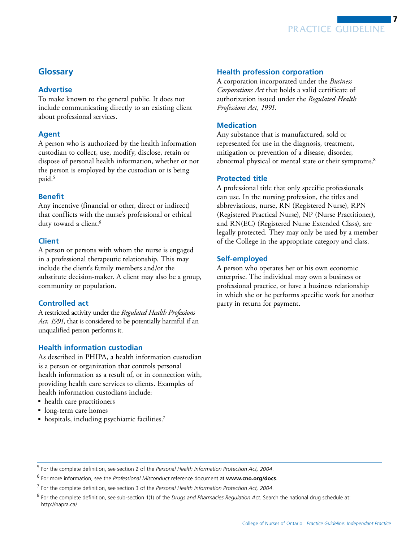

## <span id="page-6-0"></span>**Glossary**

#### **Advertise**

To make known to the general public. It does not include communicating directly to an existing client about professional services.

#### **Agent**

A person who is authorized by the health information custodian to collect, use, modify, disclose, retain or dispose of personal health information, whether or not the person is employed by the custodian or is being paid.5

#### **Benefit**

Any incentive (financial or other, direct or indirect) that conflicts with the nurse's professional or ethical duty toward a client.<sup>6</sup>

#### **Client**

A person or persons with whom the nurse is engaged in a professional therapeutic relationship. This may include the client's family members and/or the substitute decision-maker. A client may also be a group, community or population.

#### **Controlled act**

A restricted activity under the *Regulated Health Professions Act, 1991*, that is considered to be potentially harmful if an unqualified person performs it.

#### **Health information custodian**

As described in PHIPA, a health information custodian is a person or organization that controls personal health information as a result of, or in connection with, providing health care services to clients. Examples of health information custodians include:

- health care practitioners
- long-term care homes
- hospitals, including psychiatric facilities.<sup>7</sup>

#### **Health profession corporation**

A corporation incorporated under the *Business Corporations Act* that holds a valid certificate of authorization issued under the *Regulated Health Professions Act, 1991*.

#### **Medication**

Any substance that is manufactured, sold or represented for use in the diagnosis, treatment, mitigation or prevention of a disease, disorder, abnormal physical or mental state or their symptoms.<sup>8</sup>

#### **Protected title**

A professional title that only specific professionals can use. In the nursing profession, the titles and abbreviations, nurse, RN (Registered Nurse), RPN (Registered Practical Nurse), NP (Nurse Practitioner), and RN(EC) (Registered Nurse Extended Class), are legally protected. They may only be used by a member of the College in the appropriate category and class.

#### **Self-employed**

A person who operates her or his own economic enterprise. The individual may own a business or professional practice, or have a business relationship in which she or he performs specific work for another party in return for payment.

<sup>5</sup>  For the complete definition, see section 2 of the *Personal Health Information Protection Act, 2004*.

<sup>6</sup> For more information, see the *Professional Misconduct* reference document at **www.cno.org/docs**.

<sup>7</sup> For the complete definition, see section 3 of the *Personal Health Information Protection Act, 2004*.

<sup>8</sup>  For the complete definition, see sub-section 1(1) of the *Drugs and Pharmacies Regulation Act*. Search the national drug schedule at: http://napra.ca/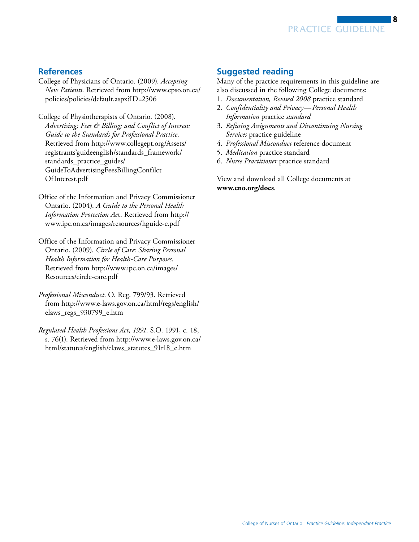

## <span id="page-7-0"></span>**References**

College of Physicians of Ontario. (2009). *Accepting New Patients*. Retrieved from http://www.cpso.on.ca/ [policies/policies/default.aspx?ID=2506](http://www.cpso.on.ca/policies/policies/default.aspx?ID=2506) 

College of Physiotherapists of Ontario. (2008). *Advertising; Fees & Billing; and Conflict of Interest: Guide to the Standards for Professional Practice*. Retrieved from http://www.collegept.org/Assets/ [registrants'guideenglish/standards\\_framework/](http://www.collegept.org/Assets/registrants%E2%80%99guideenglish/standards_framework/standards_practice_guides/GuideToAdvertisingFeesBillingConfilctOfInterest.pdf)  [standards\\_practice\\_guides/](http://www.collegept.org/Assets/registrants%E2%80%99guideenglish/standards_framework/standards_practice_guides/GuideToAdvertisingFeesBillingConfilctOfInterest.pdf)  [GuideToAdvertisingFeesBillingConfilct](http://www.collegept.org/Assets/registrants%E2%80%99guideenglish/standards_framework/standards_practice_guides/GuideToAdvertisingFeesBillingConfilctOfInterest.pdf)  [OfInterest.pdf](http://www.collegept.org/Assets/registrants%E2%80%99guideenglish/standards_framework/standards_practice_guides/GuideToAdvertisingFeesBillingConfilctOfInterest.pdf) 

- Office of the Information and Privacy Commissioner Ontario. (2004). *A Guide to the Personal Health Information Protection Ac*t. Retrieved from [http://](http://www.ipc.on.ca/images/resources/hguide-e.pdf)  www.ipc.on.ca/images/resources/hguide-e.pdf
- Office of the Information and Privacy Commissioner Ontario. (2009). *Circle of Care: Sharing Personal Health Information for Health-Care Purposes*. Retrieved from http://www.ipc.on.ca/images/ [Resources/circle-care.pdf](http://www.ipc.on.ca/images/Resources/circle-care.pdf)
- *Professional Misconduct*. O. Reg. 799/93. Retrieved from http://www.e-laws.gov.on.ca/html/regs/english/ [elaws\\_regs\\_930799\\_e.htm](http://www.e-laws.gov.on.ca/html/regs/english/elaws_regs_930799_e.htm)
- *Regulated Health Professions Act, 1991*. S.O. 1991, c. 18, s. 76(1). Retrieved from http://www.e-laws.gov.on.ca/ [html/statutes/english/elaws\\_statutes\\_91r18\\_e.htm](http://www.e-laws.gov.on.ca/html/statutes/english/elaws_statutes_91r18_e.htm)

### **Suggested reading**

Many of the practice requirements in this guideline are also discussed in the following College documents:

- 1. *Documentation, Revised 2008* practice standard
- 2. *Confidentiality and Privacy— Personal Health Information* practice *standard*
- 3. *Refusing Assignments and Discontinuing Nursing Services* practice guideline
- 4. *Professional Misconduct* reference document
- 5. Medication practice standard
- 6. *Nurse Practitioner* practice standard

View and download all College documents at **www.cno.org/docs**.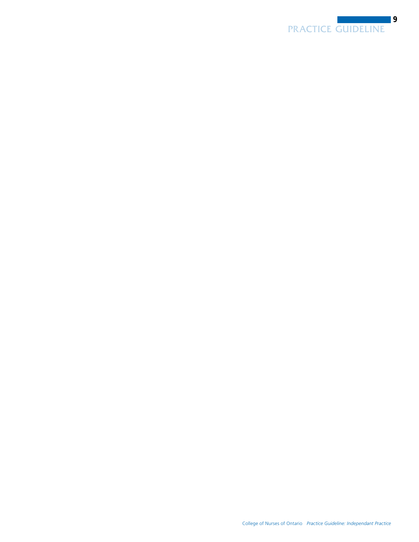